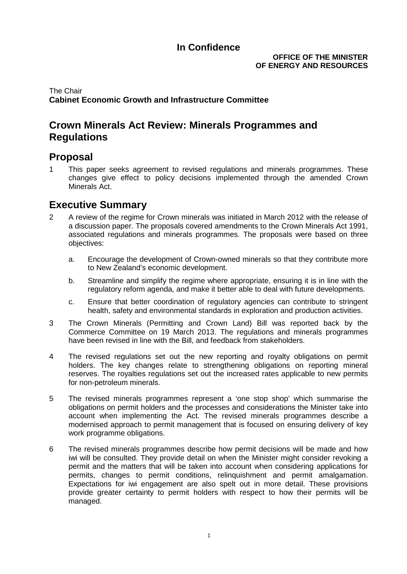### **OFFICE OF THE MINISTER OF ENERGY AND RESOURCES**

## The Chair **Cabinet Economic Growth and Infrastructure Committee**

## **Crown Minerals Act Review: Minerals Programmes and Regulations**

## **Proposal**

1 This paper seeks agreement to revised regulations and minerals programmes. These changes give effect to policy decisions implemented through the amended Crown Minerals Act.

## **Executive Summary**

- 2 A review of the regime for Crown minerals was initiated in March 2012 with the release of a discussion paper. The proposals covered amendments to the Crown Minerals Act 1991, associated regulations and minerals programmes. The proposals were based on three objectives:
	- a. Encourage the development of Crown-owned minerals so that they contribute more to New Zealand's economic development.
	- b. Streamline and simplify the regime where appropriate, ensuring it is in line with the regulatory reform agenda, and make it better able to deal with future developments.
	- c. Ensure that better coordination of regulatory agencies can contribute to stringent health, safety and environmental standards in exploration and production activities.
- 3 The Crown Minerals (Permitting and Crown Land) Bill was reported back by the Commerce Committee on 19 March 2013. The regulations and minerals programmes have been revised in line with the Bill, and feedback from stakeholders.
- 4 The revised regulations set out the new reporting and royalty obligations on permit holders. The key changes relate to strengthening obligations on reporting mineral reserves. The royalties regulations set out the increased rates applicable to new permits for non-petroleum minerals.
- 5 The revised minerals programmes represent a 'one stop shop' which summarise the obligations on permit holders and the processes and considerations the Minister take into account when implementing the Act. The revised minerals programmes describe a modernised approach to permit management that is focused on ensuring delivery of key work programme obligations.
- <span id="page-0-0"></span>6 The revised minerals programmes describe how permit decisions will be made and how iwi will be consulted. They provide detail on when the Minister might consider revoking a permit and the matters that will be taken into account when considering applications for permits, changes to permit conditions, relinquishment and permit amalgamation. Expectations for iwi engagement are also spelt out in more detail. These provisions provide greater certainty to permit holders with respect to how their permits will be managed.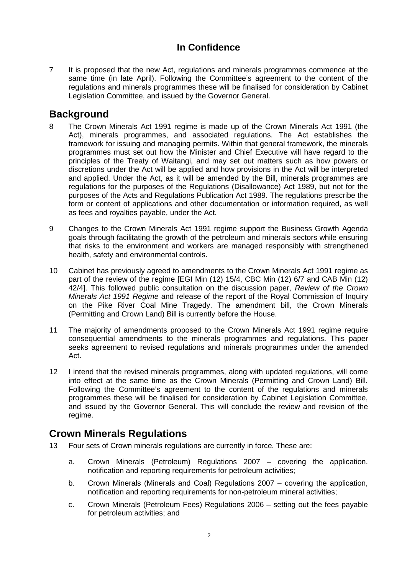7 It is proposed that the new Act, regulations and minerals programmes commence at the same time (in late April). Following the Committee's agreement to the content of the regulations and minerals programmes these will be finalised for consideration by Cabinet Legislation Committee, and issued by the Governor General.

# **Background**

- 8 The Crown Minerals Act 1991 regime is made up of the Crown Minerals Act 1991 (the Act), minerals programmes, and associated regulations. The Act establishes the framework for issuing and managing permits. Within that general framework, the minerals programmes must set out how the Minister and Chief Executive will have regard to the principles of the Treaty of Waitangi, and may set out matters such as how powers or discretions under the Act will be applied and how provisions in the Act will be interpreted and applied. Under the Act, as it will be amended by the Bill, minerals programmes are regulations for the purposes of the Regulations (Disallowance) Act 1989, but not for the purposes of the Acts and Regulations Publication Act 1989. The regulations prescribe the form or content of applications and other documentation or information required, as well as fees and royalties payable, under the Act.
- 9 Changes to the Crown Minerals Act 1991 regime support the Business Growth Agenda goals through facilitating the growth of the petroleum and minerals sectors while ensuring that risks to the environment and workers are managed responsibly with strengthened health, safety and environmental controls.
- 10 Cabinet has previously agreed to amendments to the Crown Minerals Act 1991 regime as part of the review of the regime [EGI Min (12) 15/4, CBC Min (12) 6/7 and CAB Min (12) 42/4]. This followed public consultation on the discussion paper, *Review of the Crown Minerals Act 1991 Regime* and release of the report of the Royal Commission of Inquiry on the Pike River Coal Mine Tragedy. The amendment bill, the Crown Minerals (Permitting and Crown Land) Bill is currently before the House.
- 11 The majority of amendments proposed to the Crown Minerals Act 1991 regime require consequential amendments to the minerals programmes and regulations. This paper seeks agreement to revised regulations and minerals programmes under the amended Act.
- 12 I intend that the revised minerals programmes, along with updated regulations, will come into effect at the same time as the Crown Minerals (Permitting and Crown Land) Bill. Following the Committee's agreement to the content of the regulations and minerals programmes these will be finalised for consideration by Cabinet Legislation Committee, and issued by the Governor General. This will conclude the review and revision of the regime.

## **Crown Minerals Regulations**

- 13 Four sets of Crown minerals regulations are currently in force. These are:
	- a. Crown [Minerals \(Petroleum\) Regulations 2007](http://legislation.govt.nz/regulation/public/2007/0138/latest/DLM437863.html?search=ts_act%40bill%40regulation%40deemedreg_crown+minerals_resel_25_h&p=1) covering the application, notification and reporting requirements for petroleum activities;
	- b. Crown Minerals (Minerals and Coal) Regulations 2007 covering the application, notification and reporting requirements for non-petroleum mineral activities;
	- c. Crown Minerals (Petroleum Fees) Regulations 2006 setting out the fees payable for petroleum activities; and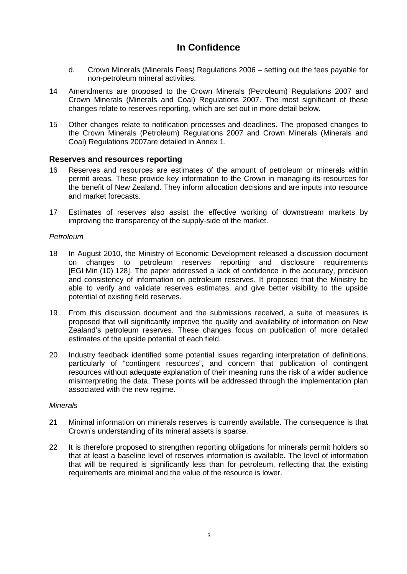- d. Crown Minerals (Minerals Fees) Regulations 2006 setting out the fees payable for non-petroleum mineral activities.
- 14 Amendments are proposed to the [Crown Minerals \(Petroleum\) Regulations 2007](http://legislation.govt.nz/regulation/public/2007/0138/latest/DLM437863.html?search=ts_act%40bill%40regulation%40deemedreg_crown+minerals_resel_25_h&p=1) and Crown Minerals (Minerals and Coal) Regulations 2007. The most significant of these changes relate to reserves reporting, which are set out in more detail below.
- 15 Other changes relate to notification processes and deadlines. The proposed changes to the [Crown Minerals \(Petroleum\) Regulations 2007](http://legislation.govt.nz/regulation/public/2007/0138/latest/DLM437863.html?search=ts_act%40bill%40regulation%40deemedreg_crown+minerals_resel_25_h&p=1) and Crown Minerals (Minerals and Coal) Regulations 2007are detailed in Annex 1.

### **Reserves and resources reporting**

- <span id="page-2-0"></span>16 Reserves and resources are estimates of the amount of petroleum or minerals within permit areas. These provide key information to the Crown in managing its resources for the benefit of New Zealand. They inform allocation decisions and are inputs into resource and market forecasts.
- <span id="page-2-1"></span>17 Estimates of reserves also assist the effective working of downstream markets by improving the transparency of the supply-side of the market.

#### *Petroleum*

- 18 In August 2010, the Ministry of Economic Development released a discussion document on changes to petroleum reserves reporting and disclosure requirements [EGI Min (10) 128]. The paper addressed a lack of confidence in the accuracy, precision and consistency of information on petroleum reserves. It proposed that the Ministry be able to verify and validate reserves estimates, and give better visibility to the upside potential of existing field reserves.
- 19 From this discussion document and the submissions received, a suite of measures is proposed that will significantly improve the quality and availability of information on New Zealand's petroleum reserves. These changes focus on publication of more detailed estimates of the upside potential of each field.
- 20 Industry feedback identified some potential issues regarding interpretation of definitions, particularly of "contingent resources", and concern that publication of contingent resources without adequate explanation of their meaning runs the risk of a wider audience misinterpreting the data. These points will be addressed through the implementation plan associated with the new regime.

#### *Minerals*

- 21 Minimal information on minerals reserves is currently available. The consequence is that Crown's understanding of its mineral assets is sparse.
- 22 It is therefore proposed to strengthen reporting obligations for minerals permit holders so that at least a baseline level of reserves information is available. The level of information that will be required is significantly less than for petroleum, reflecting that the existing requirements are minimal and the value of the resource is lower.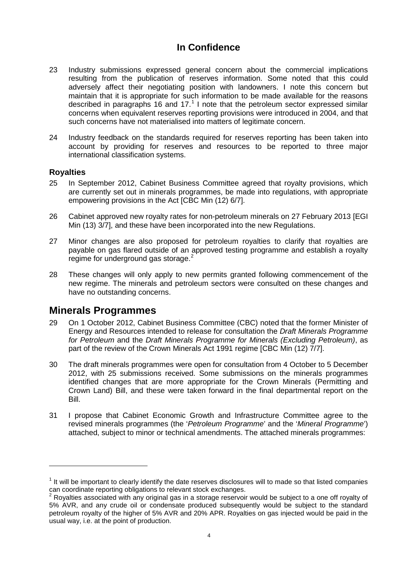- 23 Industry submissions expressed general concern about the commercial implications resulting from the publication of reserves information. Some noted that this could adversely affect their negotiating position with landowners. I note this concern but maintain that it is appropriate for such information to be made available for the reasons described in paragraphs [16](#page-2-0) and [17.](#page-2-1)<sup>[1](#page-0-0)</sup> I note that the petroleum sector expressed similar concerns when equivalent reserves reporting provisions were introduced in 2004, and that such concerns have not materialised into matters of legitimate concern.
- 24 Industry feedback on the standards required for reserves reporting has been taken into account by providing for reserves and resources to be reported to three major international classification systems.

### **Royalties**

-

- 25 In September 2012, Cabinet Business Committee agreed that royalty provisions, which are currently set out in minerals programmes, be made into regulations, with appropriate empowering provisions in the Act [CBC Min (12) 6/7].
- 26 Cabinet approved new royalty rates for non-petroleum minerals on 27 February 2013 [EGI Min (13) 3/7], and these have been incorporated into the new Regulations.
- 27 Minor changes are also proposed for petroleum royalties to clarify that royalties are payable on gas flared outside of an approved testing programme and establish a royalty regime for underground gas storage.<sup>[2](#page-3-0)</sup>
- 28 These changes will only apply to new permits granted following commencement of the new regime. The minerals and petroleum sectors were consulted on these changes and have no outstanding concerns.

## **Minerals Programmes**

- 29 On 1 October 2012, Cabinet Business Committee (CBC) noted that the former Minister of Energy and Resources intended to release for consultation the *Draft Minerals Programme for Petroleum* and the *Draft Minerals Programme for Minerals (Excluding Petroleum)*, as part of the review of the Crown Minerals Act 1991 regime [CBC Min (12) 7/7].
- 30 The draft minerals programmes were open for consultation from 4 October to 5 December 2012, with 25 submissions received. Some submissions on the minerals programmes identified changes that are more appropriate for the Crown Minerals (Permitting and Crown Land) Bill, and these were taken forward in the final departmental report on the Bill.
- 31 I propose that Cabinet Economic Growth and Infrastructure Committee agree to the revised minerals programmes (the '*Petroleum Programme*' and the '*Mineral Programme*') attached, subject to minor or technical amendments. The attached minerals programmes:

<span id="page-3-1"></span><sup>&</sup>lt;sup>1</sup> It will be important to clearly identify the date reserves disclosures will to made so that listed companies can coordinate reporting obligations to relevant stock exchanges.

<span id="page-3-0"></span>Royalties associated with any original gas in a storage reservoir would be subject to a one off royalty of 5% AVR, and any crude oil or condensate produced subsequently would be subject to the standard petroleum royalty of the higher of 5% AVR and 20% APR. Royalties on gas injected would be paid in the usual way, i.e. at the point of production.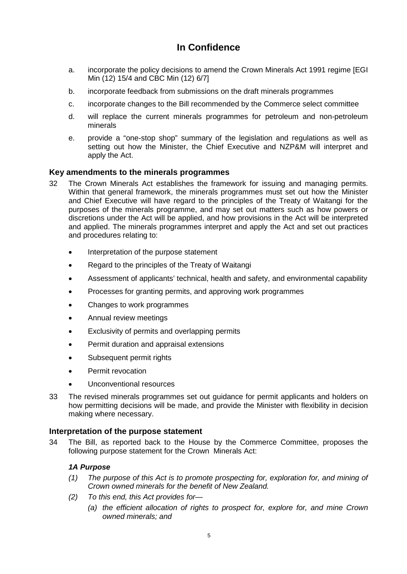- a. incorporate the policy decisions to amend the Crown Minerals Act 1991 regime [EGI Min (12) 15/4 and CBC Min (12) 6/7]
- b. incorporate feedback from submissions on the draft minerals programmes
- c. incorporate changes to the Bill recommended by the Commerce select committee
- d. will replace the current minerals programmes for petroleum and non-petroleum minerals
- e. provide a "one-stop shop" summary of the legislation and regulations as well as setting out how the Minister, the Chief Executive and NZP&M will interpret and apply the Act.

## **Key amendments to the minerals programmes**

- 32 The Crown Minerals Act establishes the framework for issuing and managing permits. Within that general framework, the minerals programmes must set out how the Minister and Chief Executive will have regard to the principles of the Treaty of Waitangi for the purposes of the minerals programme, and may set out matters such as how powers or discretions under the Act will be applied, and how provisions in the Act will be interpreted and applied. The minerals programmes interpret and apply the Act and set out practices and procedures relating to:
	- Interpretation of the purpose statement
	- Regard to the principles of the Treaty of Waitangi
	- Assessment of applicants' technical, health and safety, and environmental capability
	- Processes for granting permits, and approving work programmes
	- Changes to work programmes
	- Annual review meetings
	- Exclusivity of permits and overlapping permits
	- Permit duration and appraisal extensions
	- Subsequent permit rights
	- Permit revocation
	- Unconventional resources
- 33 The revised minerals programmes set out guidance for permit applicants and holders on how permitting decisions will be made, and provide the Minister with flexibility in decision making where necessary.

### **Interpretation of the purpose statement**

34 The Bill, as reported back to the House by the Commerce Committee, proposes the following purpose statement for the Crown Minerals Act:

### *1A Purpose*

- *(1) The purpose of this Act is to promote prospecting for, exploration for, and mining of Crown owned minerals for the benefit of New Zealand.*
- *(2) To this end, this Act provides for—*
	- *(a) the efficient allocation of rights to prospect for, explore for, and mine Crown owned minerals; and*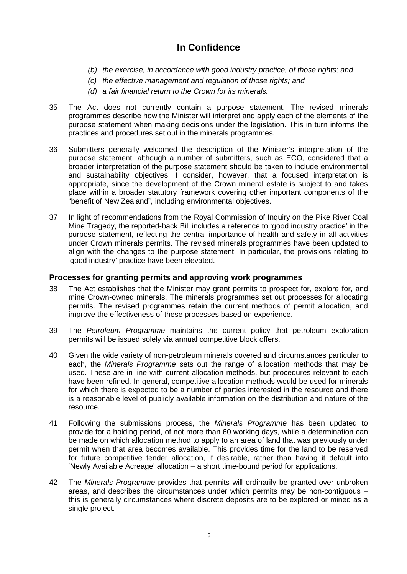- *(b) the exercise, in accordance with good industry practice, of those rights; and*
- *(c) the effective management and regulation of those rights; and*
- *(d) a fair financial return to the Crown for its minerals.*
- 35 The Act does not currently contain a purpose statement. The revised minerals programmes describe how the Minister will interpret and apply each of the elements of the purpose statement when making decisions under the legislation. This in turn informs the practices and procedures set out in the minerals programmes.
- 36 Submitters generally welcomed the description of the Minister's interpretation of the purpose statement, although a number of submitters, such as ECO, considered that a broader interpretation of the purpose statement should be taken to include environmental and sustainability objectives. I consider, however, that a focused interpretation is appropriate, since the development of the Crown mineral estate is subject to and takes place within a broader statutory framework covering other important components of the "benefit of New Zealand", including environmental objectives.
- 37 In light of recommendations from the Royal Commission of Inquiry on the Pike River Coal Mine Tragedy, the reported-back Bill includes a reference to 'good industry practice' in the purpose statement, reflecting the central importance of health and safety in all activities under Crown minerals permits. The revised minerals programmes have been updated to align with the changes to the purpose statement. In particular, the provisions relating to 'good industry' practice have been elevated.

### **Processes for granting permits and approving work programmes**

- 38 The Act establishes that the Minister may grant permits to prospect for, explore for, and mine Crown-owned minerals. The minerals programmes set out processes for allocating permits. The revised programmes retain the current methods of permit allocation, and improve the effectiveness of these processes based on experience.
- 39 The *Petroleum Programme* maintains the current policy that petroleum exploration permits will be issued solely via annual competitive block offers.
- 40 Given the wide variety of non-petroleum minerals covered and circumstances particular to each, the *Minerals Programme* sets out the range of allocation methods that may be used. These are in line with current allocation methods, but procedures relevant to each have been refined. In general, competitive allocation methods would be used for minerals for which there is expected to be a number of parties interested in the resource and there is a reasonable level of publicly available information on the distribution and nature of the resource.
- 41 Following the submissions process, the *Minerals Programme* has been updated to provide for a holding period, of not more than 60 working days, while a determination can be made on which allocation method to apply to an area of land that was previously under permit when that area becomes available. This provides time for the land to be reserved for future competitive tender allocation, if desirable, rather than having it default into 'Newly Available Acreage' allocation – a short time-bound period for applications.
- 42 The *Minerals Programme* provides that permits will ordinarily be granted over unbroken areas, and describes the circumstances under which permits may be non-contiguous – this is generally circumstances where discrete deposits are to be explored or mined as a single project.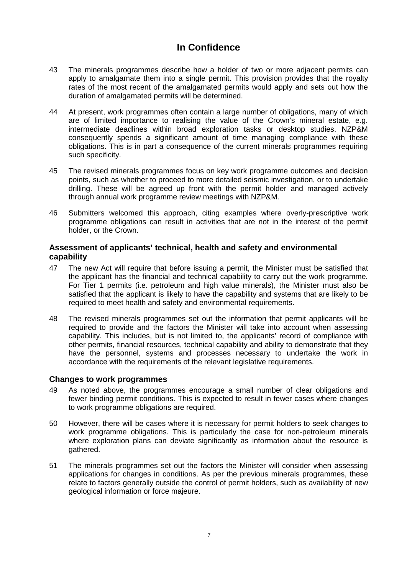- 43 The minerals programmes describe how a holder of two or more adjacent permits can apply to amalgamate them into a single permit. This provision provides that the royalty rates of the most recent of the amalgamated permits would apply and sets out how the duration of amalgamated permits will be determined.
- 44 At present, work programmes often contain a large number of obligations, many of which are of limited importance to realising the value of the Crown's mineral estate, e.g. intermediate deadlines within broad exploration tasks or desktop studies. NZP&M consequently spends a significant amount of time managing compliance with these obligations. This is in part a consequence of the current minerals programmes requiring such specificity.
- 45 The revised minerals programmes focus on key work programme outcomes and decision points, such as whether to proceed to more detailed seismic investigation, or to undertake drilling. These will be agreed up front with the permit holder and managed actively through annual work programme review meetings with NZP&M.
- 46 Submitters welcomed this approach, citing examples where overly-prescriptive work programme obligations can result in activities that are not in the interest of the permit holder, or the Crown.

### **Assessment of applicants' technical, health and safety and environmental capability**

- 47 The new Act will require that before issuing a permit, the Minister must be satisfied that the applicant has the financial and technical capability to carry out the work programme. For Tier 1 permits (i.e. petroleum and high value minerals), the Minister must also be satisfied that the applicant is likely to have the capability and systems that are likely to be required to meet health and safety and environmental requirements.
- 48 The revised minerals programmes set out the information that permit applicants will be required to provide and the factors the Minister will take into account when assessing capability. This includes, but is not limited to, the applicants' record of compliance with other permits, financial resources, technical capability and ability to demonstrate that they have the personnel, systems and processes necessary to undertake the work in accordance with the requirements of the relevant legislative requirements.

## **Changes to work programmes**

- 49 As noted above, the programmes encourage a small number of clear obligations and fewer binding permit conditions. This is expected to result in fewer cases where changes to work programme obligations are required.
- 50 However, there will be cases where it is necessary for permit holders to seek changes to work programme obligations. This is particularly the case for non-petroleum minerals where exploration plans can deviate significantly as information about the resource is gathered.
- 51 The minerals programmes set out the factors the Minister will consider when assessing applications for changes in conditions. As per the previous minerals programmes, these relate to factors generally outside the control of permit holders, such as availability of new geological information or force majeure.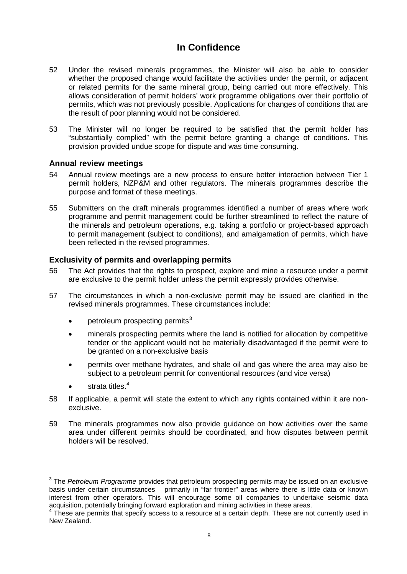- 52 Under the revised minerals programmes, the Minister will also be able to consider whether the proposed change would facilitate the activities under the permit, or adjacent or related permits for the same mineral group, being carried out more effectively. This allows consideration of permit holders' work programme obligations over their portfolio of permits, which was not previously possible. Applications for changes of conditions that are the result of poor planning would not be considered.
- 53 The Minister will no longer be required to be satisfied that the permit holder has "substantially complied" with the permit before granting a change of conditions. This provision provided undue scope for dispute and was time consuming.

### **Annual review meetings**

- 54 Annual review meetings are a new process to ensure better interaction between Tier 1 permit holders, NZP&M and other regulators. The minerals programmes describe the purpose and format of these meetings.
- 55 Submitters on the draft minerals programmes identified a number of areas where work programme and permit management could be further streamlined to reflect the nature of the minerals and petroleum operations, e.g. taking a portfolio or project-based approach to permit management (subject to conditions), and amalgamation of permits, which have been reflected in the revised programmes.

## **Exclusivity of permits and overlapping permits**

- 56 The Act provides that the rights to prospect, explore and mine a resource under a permit are exclusive to the permit holder unless the permit expressly provides otherwise.
- 57 The circumstances in which a non-exclusive permit may be issued are clarified in the revised minerals programmes. These circumstances include:
	- petroleum prospecting permits<sup>[3](#page-3-1)</sup>
	- minerals prospecting permits where the land is notified for allocation by competitive tender or the applicant would not be materially disadvantaged if the permit were to be granted on a non-exclusive basis
	- permits over methane hydrates, and shale oil and gas where the area may also be subject to a petroleum permit for conventional resources (and vice versa)
	- strata titles.<sup>[4](#page-7-0)</sup>

-

- 58 If applicable, a permit will state the extent to which any rights contained within it are nonexclusive.
- 59 The minerals programmes now also provide guidance on how activities over the same area under different permits should be coordinated, and how disputes between permit holders will be resolved.

<sup>3</sup> The *Petroleum Programme* provides that petroleum prospecting permits may be issued on an exclusive basis under certain circumstances – primarily in "far frontier" areas where there is little data or known interest from other operators. This will encourage some oil companies to undertake seismic data acquisition, potentially bringing forward exploration and mining activities in these areas.

<span id="page-7-1"></span><span id="page-7-0"></span> $4$  These are permits that specify access to a resource at a certain depth. These are not currently used in New Zealand.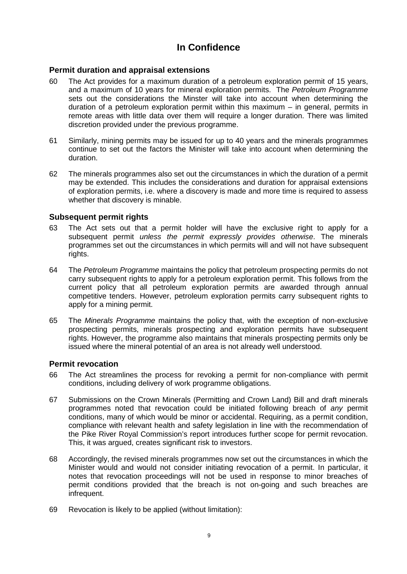### **Permit duration and appraisal extensions**

- 60 The Act provides for a maximum duration of a petroleum exploration permit of 15 years, and a maximum of 10 years for mineral exploration permits. The *Petroleum Programme*  sets out the considerations the Minster will take into account when determining the duration of a petroleum exploration permit within this maximum – in general, permits in remote areas with little data over them will require a longer duration. There was limited discretion provided under the previous programme.
- 61 Similarly, mining permits may be issued for up to 40 years and the minerals programmes continue to set out the factors the Minister will take into account when determining the duration.
- 62 The minerals programmes also set out the circumstances in which the duration of a permit may be extended. This includes the considerations and duration for appraisal extensions of exploration permits, i.e. where a discovery is made and more time is required to assess whether that discovery is minable.

### **Subsequent permit rights**

- 63 The Act sets out that a permit holder will have the exclusive right to apply for a subsequent permit *unless the permit expressly provides otherwise*. The minerals programmes set out the circumstances in which permits will and will not have subsequent rights.
- 64 The *Petroleum Programme* maintains the policy that petroleum prospecting permits do not carry subsequent rights to apply for a petroleum exploration permit. This follows from the current policy that all petroleum exploration permits are awarded through annual competitive tenders. However, petroleum exploration permits carry subsequent rights to apply for a mining permit.
- 65 The *Minerals Programme* maintains the policy that, with the exception of non-exclusive prospecting permits, minerals prospecting and exploration permits have subsequent rights. However, the programme also maintains that minerals prospecting permits only be issued where the mineral potential of an area is not already well understood.

### **Permit revocation**

- 66 The Act streamlines the process for revoking a permit for non-compliance with permit conditions, including delivery of work programme obligations.
- 67 Submissions on the Crown Minerals (Permitting and Crown Land) Bill and draft minerals programmes noted that revocation could be initiated following breach of *any* permit conditions, many of which would be minor or accidental. Requiring, as a permit condition, compliance with relevant health and safety legislation in line with the recommendation of the Pike River Royal Commission's report introduces further scope for permit revocation. This, it was argued, creates significant risk to investors.
- 68 Accordingly, the revised minerals programmes now set out the circumstances in which the Minister would and would not consider initiating revocation of a permit. In particular, it notes that revocation proceedings will not be used in response to minor breaches of permit conditions provided that the breach is not on-going and such breaches are infrequent.
- 69 Revocation is likely to be applied (without limitation):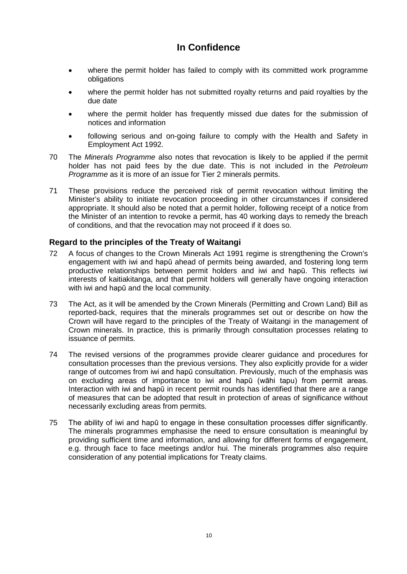- where the permit holder has failed to comply with its committed work programme obligations
- where the permit holder has not submitted royalty returns and paid royalties by the due date
- where the permit holder has frequently missed due dates for the submission of notices and information
- following serious and on-going failure to comply with the Health and Safety in Employment Act 1992.
- 70 The *Minerals Programme* also notes that revocation is likely to be applied if the permit holder has not paid fees by the due date. This is not included in the *Petroleum Programme* as it is more of an issue for Tier 2 minerals permits.
- 71 These provisions reduce the perceived risk of permit revocation without limiting the Minister's ability to initiate revocation proceeding in other circumstances if considered appropriate. It should also be noted that a permit holder, following receipt of a notice from the Minister of an intention to revoke a permit, has 40 working days to remedy the breach of conditions, and that the revocation may not proceed if it does so.

## **Regard to the principles of the Treaty of Waitangi**

- 72 A focus of changes to the Crown Minerals Act 1991 regime is strengthening the Crown's engagement with iwi and hapū ahead of permits being awarded, and fostering long term productive relationships between permit holders and iwi and hapū. This reflects iwi interests of kaitiakitanga, and that permit holders will generally have ongoing interaction with iwi and hapū and the local community.
- 73 The Act, as it will be amended by the Crown Minerals (Permitting and Crown Land) Bill as reported-back, requires that the minerals programmes set out or describe on how the Crown will have regard to the principles of the Treaty of Waitangi in the management of Crown minerals. In practice, this is primarily through consultation processes relating to issuance of permits.
- 74 The revised versions of the programmes provide clearer guidance and procedures for consultation processes than the previous versions. They also explicitly provide for a wider range of outcomes from iwi and hapū consultation. Previously, much of the emphasis was on excluding areas of importance to iwi and hapū (wāhi tapu) from permit areas. Interaction with iwi and hapū in recent permit rounds has identified that there are a range of measures that can be adopted that result in protection of areas of significance without necessarily excluding areas from permits.
- 75 The ability of iwi and hapū to engage in these consultation processes differ significantly. The minerals programmes emphasise the need to ensure consultation is meaningful by providing sufficient time and information, and allowing for different forms of engagement, e.g. through face to face meetings and/or hui. The minerals programmes also require consideration of any potential implications for Treaty claims.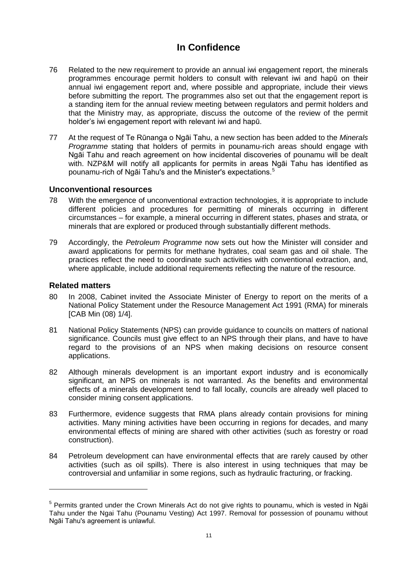- 76 Related to the new requirement to provide an annual iwi engagement report, the minerals programmes encourage permit holders to consult with relevant iwi and hapū on their annual iwi engagement report and, where possible and appropriate, include their views before submitting the report. The programmes also set out that the engagement report is a standing item for the annual review meeting between regulators and permit holders and that the Ministry may, as appropriate, discuss the outcome of the review of the permit holder's iwi engagement report with relevant iwi and hapū.
- 77 At the request of Te Rūnanga o Ngāi Tahu, a new section has been added to the *Minerals Programme* stating that holders of permits in pounamu-rich areas should engage with Ngāi Tahu and reach agreement on how incidental discoveries of pounamu will be dealt with. NZP&M will notify all applicants for permits in areas Ngāi Tahu has identified as pounamu-rich of Ngāi Tahu's and the Minister's expectations.[5](#page-7-1)

### **Unconventional resources**

- 78 With the emergence of unconventional extraction technologies, it is appropriate to include different policies and procedures for permitting of minerals occurring in different circumstances – for example, a mineral occurring in different states, phases and strata, or minerals that are explored or produced through substantially different methods.
- 79 Accordingly, the *Petroleum Programme* now sets out how the Minister will consider and award applications for permits for methane hydrates, coal seam gas and oil shale. The practices reflect the need to coordinate such activities with conventional extraction, and, where applicable, include additional requirements reflecting the nature of the resource.

#### **Related matters**

-

- 80 In 2008, Cabinet invited the Associate Minister of Energy to report on the merits of a National Policy Statement under the Resource Management Act 1991 (RMA) for minerals [CAB Min (08) 1/4].
- 81 National Policy Statements (NPS) can provide guidance to councils on matters of national significance. Councils must give effect to an NPS through their plans, and have to have regard to the provisions of an NPS when making decisions on resource consent applications.
- 82 Although minerals development is an important export industry and is economically significant, an NPS on minerals is not warranted. As the benefits and environmental effects of a minerals development tend to fall locally, councils are already well placed to consider mining consent applications.
- 83 Furthermore, evidence suggests that RMA plans already contain provisions for mining activities. Many mining activities have been occurring in regions for decades, and many environmental effects of mining are shared with other activities (such as forestry or road construction).
- 84 Petroleum development can have environmental effects that are rarely caused by other activities (such as oil spills). There is also interest in using techniques that may be controversial and unfamiliar in some regions, such as hydraulic fracturing, or fracking.

<sup>&</sup>lt;sup>5</sup> Permits granted under the Crown Minerals Act do not give rights to pounamu, which is vested in Ngāi Tahu under the Ngai Tahu (Pounamu Vesting) Act 1997. Removal for possession of pounamu without Ngāi Tahu's agreement is unlawful.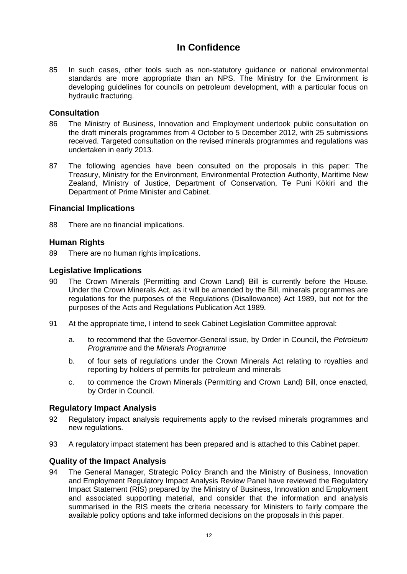85 In such cases, other tools such as non-statutory guidance or national environmental standards are more appropriate than an NPS. The Ministry for the Environment is developing guidelines for councils on petroleum development, with a particular focus on hydraulic fracturing.

### **Consultation**

- 86 The Ministry of Business, Innovation and Employment undertook public consultation on the draft minerals programmes from 4 October to 5 December 2012, with 25 submissions received. Targeted consultation on the revised minerals programmes and regulations was undertaken in early 2013.
- 87 The following agencies have been consulted on the proposals in this paper: The Treasury, Ministry for the Environment, Environmental Protection Authority, Maritime New Zealand, Ministry of Justice, Department of Conservation, Te Puni Kōkiri and the Department of Prime Minister and Cabinet.

### **Financial Implications**

88 There are no financial implications.

### **Human Rights**

89 There are no human rights implications.

### **Legislative Implications**

- 90 The Crown Minerals (Permitting and Crown Land) Bill is currently before the House. Under the Crown Minerals Act, as it will be amended by the Bill, minerals programmes are regulations for the purposes of the Regulations (Disallowance) Act 1989, but not for the purposes of the Acts and Regulations Publication Act 1989.
- 91 At the appropriate time, I intend to seek Cabinet Legislation Committee approval:
	- a. to recommend that the Governor-General issue, by Order in Council, the *Petroleum Programme* and the *Minerals Programme*
	- b. of four sets of regulations under the Crown Minerals Act relating to royalties and reporting by holders of permits for petroleum and minerals
	- c. to commence the Crown Minerals (Permitting and Crown Land) Bill, once enacted, by Order in Council.

### **Regulatory Impact Analysis**

- 92 Regulatory impact analysis requirements apply to the revised minerals programmes and new regulations.
- 93 A regulatory impact statement has been prepared and is attached to this Cabinet paper.

### **Quality of the Impact Analysis**

94 The General Manager, Strategic Policy Branch and the Ministry of Business, Innovation and Employment Regulatory Impact Analysis Review Panel have reviewed the Regulatory Impact Statement (RIS) prepared by the Ministry of Business, Innovation and Employment and associated supporting material, and consider that the information and analysis summarised in the RIS meets the criteria necessary for Ministers to fairly compare the available policy options and take informed decisions on the proposals in this paper.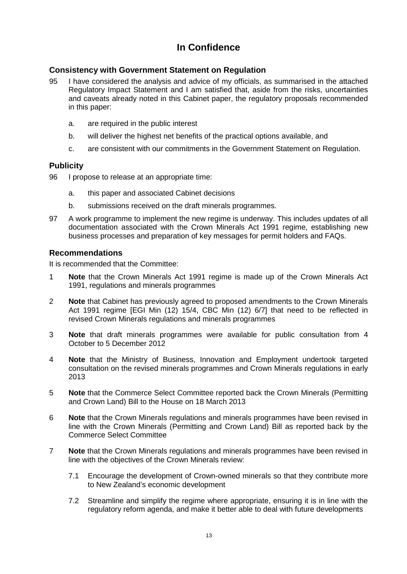### **Consistency with Government Statement on Regulation**

- 95 I have considered the analysis and advice of my officials, as summarised in the attached Regulatory Impact Statement and I am satisfied that, aside from the risks, uncertainties and caveats already noted in this Cabinet paper, the regulatory proposals recommended in this paper:
	- a. are required in the public interest
	- b. will deliver the highest net benefits of the practical options available, and
	- c. are consistent with our commitments in the Government Statement on Regulation.

### **Publicity**

- 96 I propose to release at an appropriate time:
	- a. this paper and associated Cabinet decisions
	- b. submissions received on the draft minerals programmes.
- 97 A work programme to implement the new regime is underway. This includes updates of all documentation associated with the Crown Minerals Act 1991 regime, establishing new business processes and preparation of key messages for permit holders and FAQs.

### **Recommendations**

It is recommended that the Committee:

- 1 **Note** that the Crown Minerals Act 1991 regime is made up of the Crown Minerals Act 1991, regulations and minerals programmes
- 2 **Note** that Cabinet has previously agreed to proposed amendments to the Crown Minerals Act 1991 regime [EGI Min (12) 15/4, CBC Min (12) 6/7] that need to be reflected in revised Crown Minerals regulations and minerals programmes
- 3 **Note** that draft minerals programmes were available for public consultation from 4 October to 5 December 2012
- 4 **Note** that the Ministry of Business, Innovation and Employment undertook targeted consultation on the revised minerals programmes and Crown Minerals regulations in early 2013
- 5 **Note** that the Commerce Select Committee reported back the Crown Minerals (Permitting and Crown Land) Bill to the House on 18 March 2013
- 6 **Note** that the Crown Minerals regulations and minerals programmes have been revised in line with the Crown Minerals (Permitting and Crown Land) Bill as reported back by the Commerce Select Committee
- 7 **Note** that the Crown Minerals regulations and minerals programmes have been revised in line with the objectives of the Crown Minerals review:
	- 7.1 Encourage the development of Crown-owned minerals so that they contribute more to New Zealand's economic development
	- 7.2 Streamline and simplify the regime where appropriate, ensuring it is in line with the regulatory reform agenda, and make it better able to deal with future developments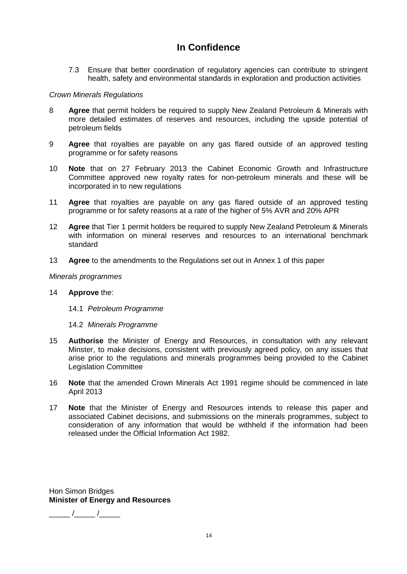7.3 Ensure that better coordination of regulatory agencies can contribute to stringent health, safety and environmental standards in exploration and production activities

#### *Crown Minerals Regulations*

- 8 **Agree** that permit holders be required to supply New Zealand Petroleum & Minerals with more detailed estimates of reserves and resources, including the upside potential of petroleum fields
- 9 **Agree** that royalties are payable on any gas flared outside of an approved testing programme or for safety reasons
- 10 **Note** that on 27 February 2013 the Cabinet Economic Growth and Infrastructure Committee approved new royalty rates for non-petroleum minerals and these will be incorporated in to new regulations
- 11 **Agree** that royalties are payable on any gas flared outside of an approved testing programme or for safety reasons at a rate of the higher of 5% AVR and 20% APR
- 12 **Agree** that Tier 1 permit holders be required to supply New Zealand Petroleum & Minerals with information on mineral reserves and resources to an international benchmark standard
- 13 **Agree** to the amendments to the Regulations set out in Annex 1 of this paper

#### *Minerals programmes*

#### 14 **Approve** the:

- 14.1 *Petroleum Programme*
- 14.2 *Minerals Programme*
- 15 **Authorise** the Minister of Energy and Resources, in consultation with any relevant Minster, to make decisions, consistent with previously agreed policy, on any issues that arise prior to the regulations and minerals programmes being provided to the Cabinet Legislation Committee
- 16 **Note** that the amended Crown Minerals Act 1991 regime should be commenced in late April 2013
- 17 **Note** that the Minister of Energy and Resources intends to release this paper and associated Cabinet decisions, and submissions on the minerals programmes, subject to consideration of any information that would be withheld if the information had been released under the Official Information Act 1982.

Hon Simon Bridges **Minister of Energy and Resources**

\_\_\_\_\_ /\_\_\_\_\_ /\_\_\_\_\_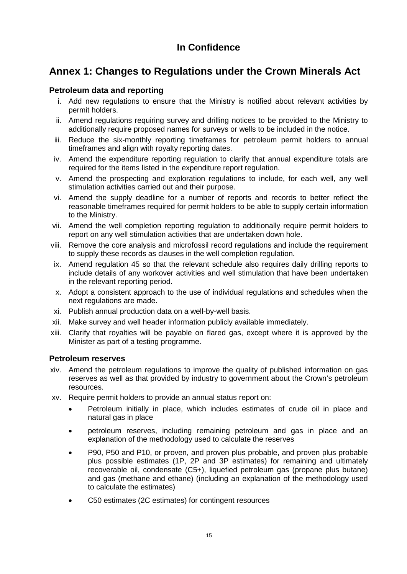# **Annex 1: Changes to Regulations under the Crown Minerals Act**

## **Petroleum data and reporting**

- i. Add new regulations to ensure that the Ministry is notified about relevant activities by permit holders.
- ii. Amend regulations requiring survey and drilling notices to be provided to the Ministry to additionally require proposed names for surveys or wells to be included in the notice.
- iii. Reduce the six-monthly reporting timeframes for petroleum permit holders to annual timeframes and align with royalty reporting dates.
- iv. Amend the expenditure reporting regulation to clarify that annual expenditure totals are required for the items listed in the expenditure report regulation.
- v. Amend the prospecting and exploration regulations to include, for each well, any well stimulation activities carried out and their purpose.
- vi. Amend the supply deadline for a number of reports and records to better reflect the reasonable timeframes required for permit holders to be able to supply certain information to the Ministry.
- vii. Amend the well completion reporting regulation to additionally require permit holders to report on any well stimulation activities that are undertaken down hole.
- viii. Remove the core analysis and microfossil record regulations and include the requirement to supply these records as clauses in the well completion regulation.
- ix. Amend regulation 45 so that the relevant schedule also requires daily drilling reports to include details of any workover activities and well stimulation that have been undertaken in the relevant reporting period.
- x. Adopt a consistent approach to the use of individual regulations and schedules when the next regulations are made.
- xi. Publish annual production data on a well-by-well basis.
- xii. Make survey and well header information publicly available immediately.
- xiii. Clarify that royalties will be payable on flared gas, except where it is approved by the Minister as part of a testing programme.

### **Petroleum reserves**

- xiv. Amend the petroleum regulations to improve the quality of published information on gas reserves as well as that provided by industry to government about the Crown's petroleum resources.
- xv. Require permit holders to provide an annual status report on:
	- Petroleum initially in place, which includes estimates of crude oil in place and natural gas in place
	- petroleum reserves, including remaining petroleum and gas in place and an explanation of the methodology used to calculate the reserves
	- P90, P50 and P10, or proven, and proven plus probable, and proven plus probable plus possible estimates (1P, 2P and 3P estimates) for remaining and ultimately recoverable oil, condensate (C5+), liquefied petroleum gas (propane plus butane) and gas (methane and ethane) (including an explanation of the methodology used to calculate the estimates)
	- C50 estimates (2C estimates) for contingent resources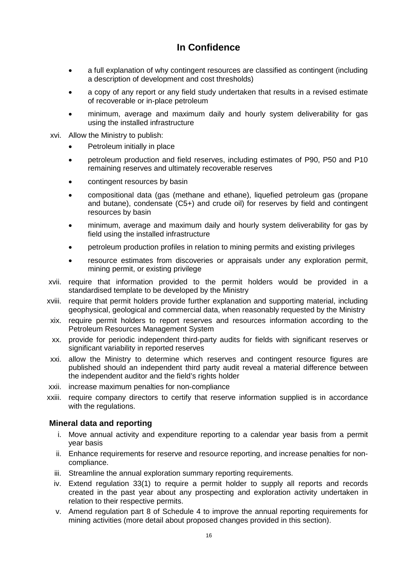- a full explanation of why contingent resources are classified as contingent (including a description of development and cost thresholds)
- a copy of any report or any field study undertaken that results in a revised estimate of recoverable or in-place petroleum
- minimum, average and maximum daily and hourly system deliverability for gas using the installed infrastructure
- xvi. Allow the Ministry to publish:
	- Petroleum initially in place
	- petroleum production and field reserves, including estimates of P90, P50 and P10 remaining reserves and ultimately recoverable reserves
	- contingent resources by basin
	- compositional data (gas (methane and ethane), liquefied petroleum gas (propane and butane), condensate (C5+) and crude oil) for reserves by field and contingent resources by basin
	- minimum, average and maximum daily and hourly system deliverability for gas by field using the installed infrastructure
	- petroleum production profiles in relation to mining permits and existing privileges
	- resource estimates from discoveries or appraisals under any exploration permit, mining permit, or existing privilege
- xvii. require that information provided to the permit holders would be provided in a standardised template to be developed by the Ministry
- xviii. require that permit holders provide further explanation and supporting material, including geophysical, geological and commercial data, when reasonably requested by the Ministry
- xix. require permit holders to report reserves and resources information according to the Petroleum Resources Management System
- xx. provide for periodic independent third-party audits for fields with significant reserves or significant variability in reported reserves
- xxi. allow the Ministry to determine which reserves and contingent resource figures are published should an independent third party audit reveal a material difference between the independent auditor and the field's rights holder
- xxii. increase maximum penalties for non-compliance
- xxiii. require company directors to certify that reserve information supplied is in accordance with the regulations.

## **Mineral data and reporting**

- i. Move annual activity and expenditure reporting to a calendar year basis from a permit year basis
- ii. Enhance requirements for reserve and resource reporting, and increase penalties for noncompliance.
- iii. Streamline the annual exploration summary reporting requirements.
- iv. Extend regulation 33(1) to require a permit holder to supply all reports and records created in the past year about any prospecting and exploration activity undertaken in relation to their respective permits.
- v. Amend regulation part 8 of Schedule 4 to improve the annual reporting requirements for mining activities (more detail about proposed changes provided in this section).